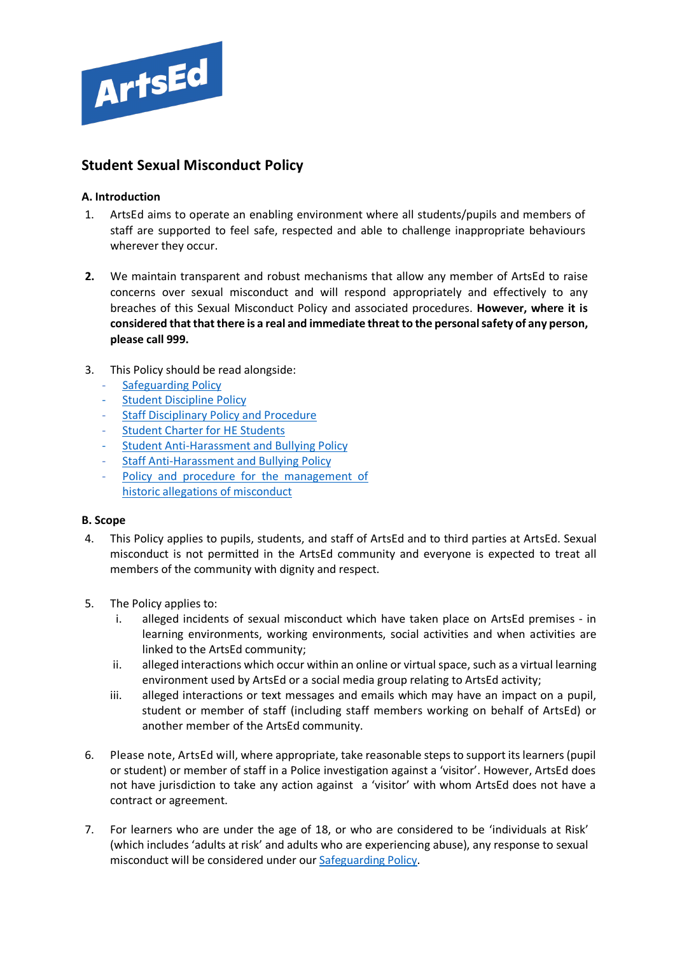

# **Student Sexual Misconduct Policy**

## **A. Introduction**

- 1. ArtsEd aims to operate an enabling environment where all students/pupils and members of staff are supported to feel safe, respected and able to challenge inappropriate behaviours wherever they occur.
- **2.** We maintain transparent and robust mechanisms that allow any member of ArtsEd to raise concerns over sexual misconduct and will respond appropriately and effectively to any breaches of this Sexual Misconduct Policy and associated procedures. **However, where it is considered that that there is a real and immediate threat to the personal safety of any person, please call 999.**
- 3. This Policy should be read alongside:
	- [Safeguarding Policy](https://artsed003.blob.core.windows.net/policy/safeguarding-policy.pdf)
	- **[Student Discipline](https://artsed003.blob.core.windows.net/policy/student-discipline-policy.pdf) Policy**
	- [Staff Disciplinary](https://artsed003.blob.core.windows.net/policy/staff-disciplinary-policy-and-procedure.pdf) Policy and Procedure
	- **[Student Charter for HE Students](https://artsed003.blob.core.windows.net/policy/student-charter.pdf)**
	- [Student Anti-Harassment and Bullying Policy](https://artsed003.blob.core.windows.net/policy/student-anti-bullying-policy.pdf)
	- [Staff Anti-Harassment and Bullying Policy](https://artsed003.blob.core.windows.net/policy/staff-anti-bullying-policy.pdf)
	- Policy and procedure for the management of [historic allegations of misconduct](https://artsed003.blob.core.windows.net/policy/policy-and-procedure-for-the-management-of-historic-allegations-of-misconduct.pdf)

## **B. Scope**

- 4. This Policy applies to pupils, students, and staff of ArtsEd and to third parties at ArtsEd. Sexual misconduct is not permitted in the ArtsEd community and everyone is expected to treat all members of the community with dignity and respect.
- 5. The Policy applies to:
	- i. alleged incidents of sexual misconduct which have taken place on ArtsEd premises in learning environments, working environments, social activities and when activities are linked to the ArtsEd community;
	- ii. alleged interactions which occur within an online or virtual space, such as a virtual learning environment used by ArtsEd or a social media group relating to ArtsEd activity;
	- iii. alleged interactions or text messages and emails which may have an impact on a pupil, student or member of staff (including staff members working on behalf of ArtsEd) or another member of the ArtsEd community.
- 6. Please note, ArtsEd will, where appropriate, take reasonable steps to support its learners (pupil or student) or member of staff in a Police investigation against a 'visitor'. However, ArtsEd does not have jurisdiction to take any action against a 'visitor' with whom ArtsEd does not have a contract or agreement.
- 7. For learners who are under the age of 18, or who are considered to be 'individuals at Risk' (which includes 'adults at risk' and adults who are experiencing abuse), any response to sexual misconduct will be considered under ou[r Safeguarding Policy.](https://artsed003.blob.core.windows.net/policy/safeguarding-policy.pdf)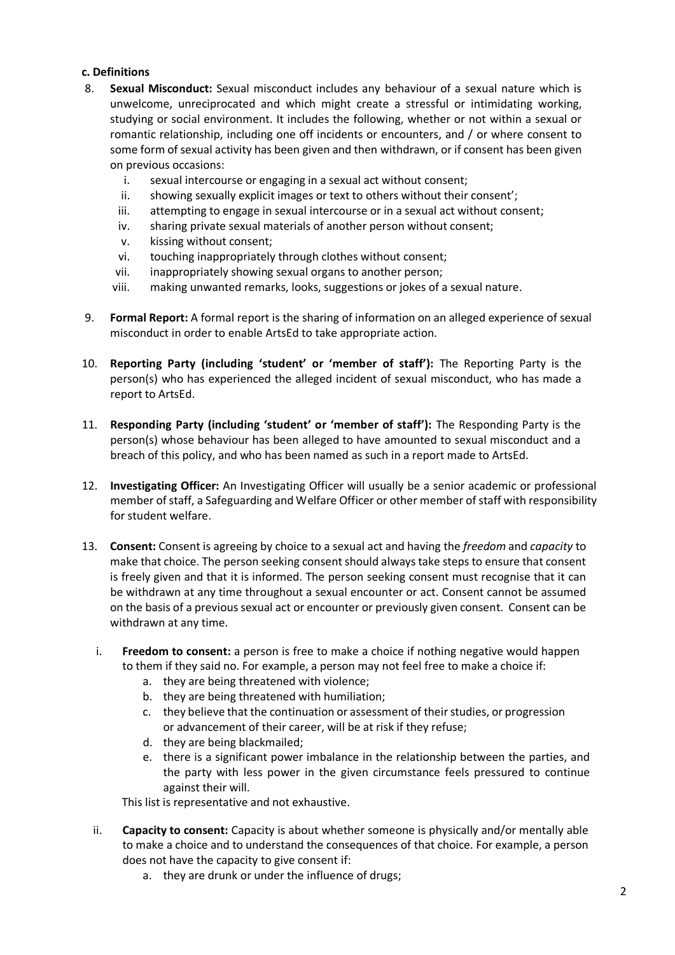## **c. Definitions**

- 8. **Sexual Misconduct:** Sexual misconduct includes any behaviour of a sexual nature which is unwelcome, unreciprocated and which might create a stressful or intimidating working, studying or social environment. It includes the following, whether or not within a sexual or romantic relationship, including one off incidents or encounters, and / or where consent to some form of sexual activity has been given and then withdrawn, or if consent has been given on previous occasions:
	- i. sexual intercourse or engaging in a sexual act without consent;
	- ii. showing sexually explicit images or text to others without their consent';
	- iii. attempting to engage in sexual intercourse or in a sexual act without consent;
	- iv. sharing private sexual materials of another person without consent;
	- v. kissing without consent;
	- vi. touching inappropriately through clothes without consent;
	- vii. inappropriately showing sexual organs to another person;
	- viii. making unwanted remarks, looks, suggestions or jokes of a sexual nature.
- 9. **Formal Report:** A formal report is the sharing of information on an alleged experience of sexual misconduct in order to enable ArtsEd to take appropriate action.
- 10. **Reporting Party (including 'student' or 'member of staff'):** The Reporting Party is the person(s) who has experienced the alleged incident of sexual misconduct, who has made a report to ArtsEd.
- 11. **Responding Party (including 'student' or 'member of staff'):** The Responding Party is the person(s) whose behaviour has been alleged to have amounted to sexual misconduct and a breach of this policy, and who has been named as such in a report made to ArtsEd.
- 12. **Investigating Officer:** An Investigating Officer will usually be a senior academic or professional member of staff, a Safeguarding and Welfare Officer or other member of staff with responsibility for student welfare.
- 13. **Consent:** Consent is agreeing by choice to a sexual act and having the *freedom* and *capacity* to make that choice. The person seeking consent should always take steps to ensure that consent is freely given and that it is informed. The person seeking consent must recognise that it can be withdrawn at any time throughout a sexual encounter or act. Consent cannot be assumed on the basis of a previous sexual act or encounter or previously given consent. Consent can be withdrawn at any time.
	- i. **Freedom to consent:** a person is free to make a choice if nothing negative would happen to them if they said no. For example, a person may not feel free to make a choice if:
		- a. they are being threatened with violence;
		- b. they are being threatened with humiliation;
		- c. they believe that the continuation or assessment of their studies, or progression or advancement of their career, will be at risk if they refuse;
		- d. they are being blackmailed;
		- e. there is a significant power imbalance in the relationship between the parties, and the party with less power in the given circumstance feels pressured to continue against their will.

This list is representative and not exhaustive.

- ii. **Capacity to consent:** Capacity is about whether someone is physically and/or mentally able to make a choice and to understand the consequences of that choice. For example, a person does not have the capacity to give consent if:
	- a. they are drunk or under the influence of drugs;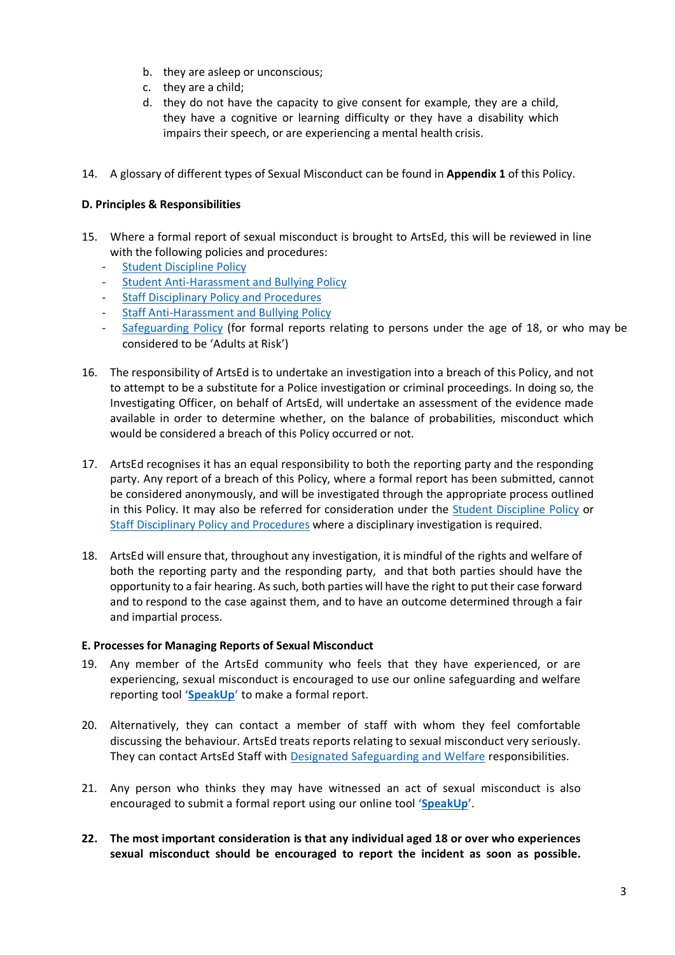- b. they are asleep or unconscious;
- c. they are a child;
- d. they do not have the capacity to give consent for example, they are a child, they have a cognitive or learning difficulty or they have a disability which impairs their speech, or are experiencing a mental health crisis.
- 14. A glossary of different types of Sexual Misconduct can be found in **Appendix 1** of this Policy.

## **D. Principles & Responsibilities**

- 15. Where a formal report of sexual misconduct is brought to ArtsEd, this will be reviewed in line with the following policies and procedures:
	- [Student Discipline Policy](https://artsed003.blob.core.windows.net/policy/student-discipline-policy.pdf)
	- Student [Anti-Harassment](https://artsed003.blob.core.windows.net/policy/student-anti-bullying-policy.pdf) and Bullying Policy
	- [Staff Disciplinary](https://artsed003.blob.core.windows.net/policy/staff-disciplinary-policy-and-procedure.pdf) Policy and Procedures
	- **[Staff Anti-Harassment and Bullying Policy](https://artsed003.blob.core.windows.net/policy/staff-anti-bullying-policy.pdf)**
	- [Safeguarding Policy](https://artsed003.blob.core.windows.net/policy/safeguarding-policy.pdf) (for formal reports relating to persons under the age of 18, or who may be considered to be 'Adults at Risk')
- 16. The responsibility of ArtsEd is to undertake an investigation into a breach of this Policy, and not to attempt to be a substitute for a Police investigation or criminal proceedings. In doing so, the Investigating Officer, on behalf of ArtsEd, will undertake an assessment of the evidence made available in order to determine whether, on the balance of probabilities, misconduct which would be considered a breach of this Policy occurred or not.
- 17. ArtsEd recognises it has an equal responsibility to both the reporting party and the responding party. Any report of a breach of this Policy, where a formal report has been submitted, cannot be considered anonymously, and will be investigated through the appropriate process outlined in this Policy. It may also be referred for consideration under the [Student Discipline Policy](https://artsed003.blob.core.windows.net/policy/student-discipline-policy.pdf) or Staff Disciplinary [Policy and Procedures](https://artsed003.blob.core.windows.net/policy/staff-disciplinary-policy-and-procedure.pdf) where a disciplinary investigation is required.
- 18. ArtsEd will ensure that, throughout any investigation, it is mindful of the rights and welfare of both the reporting party and the responding party, and that both parties should have the opportunity to a fair hearing. As such, both parties will have the right to put their case forward and to respond to the case against them, and to have an outcome determined through a fair and impartial process.

#### **E. Processes for Managing Reports of Sexual Misconduct**

- 19. Any member of the ArtsEd community who feels that they have experienced, or are experiencing, sexual misconduct is encouraged to use our online safeguarding and welfare reporting tool **['SpeakUp'](https://artsed.qualtrics.com/jfe/form/SV_7OMFULwD1kl0dX8)** to make a formal report.
- 20. Alternatively, they can contact a member of staff with whom they feel comfortable discussing the behaviour. ArtsEd treats reports relating to sexual misconduct very seriously. They can contact ArtsEd Staff with [Designated Safeguarding and Welfare](https://artsed003.blob.core.windows.net/policy/safeguarding-and-welfare-team.pdf) responsibilities.
- 21. Any person who thinks they may have witnessed an act of sexual misconduct is also encouraged to submit a formal report using our online tool **['SpeakUp'](https://artsed.qualtrics.com/jfe/form/SV_7OMFULwD1kl0dX8)**.
- **22. The most important consideration is that any individual aged 18 or over who experiences sexual misconduct should be encouraged to report the incident as soon as possible.**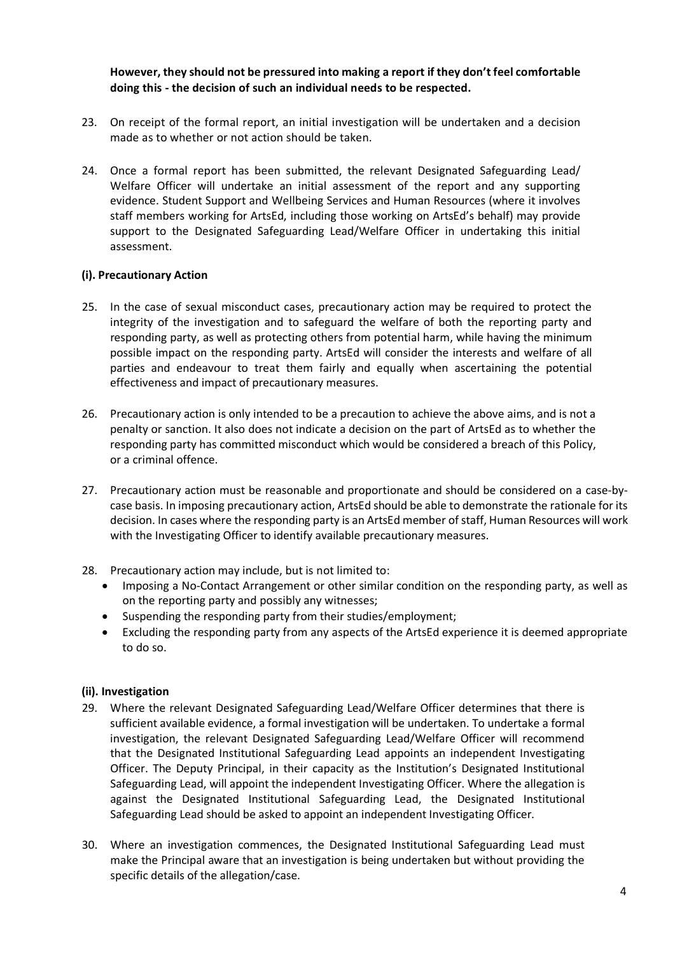**However, they should not be pressured into making a report if they don't feel comfortable doing this - the decision of such an individual needs to be respected.**

- 23. On receipt of the formal report, an initial investigation will be undertaken and a decision made as to whether or not action should be taken.
- 24. Once a formal report has been submitted, the relevant Designated Safeguarding Lead/ Welfare Officer will undertake an initial assessment of the report and any supporting evidence. Student Support and Wellbeing Services and Human Resources (where it involves staff members working for ArtsEd, including those working on ArtsEd's behalf) may provide support to the Designated Safeguarding Lead/Welfare Officer in undertaking this initial assessment.

#### **(i). Precautionary Action**

- 25. In the case of sexual misconduct cases, precautionary action may be required to protect the integrity of the investigation and to safeguard the welfare of both the reporting party and responding party, as well as protecting others from potential harm, while having the minimum possible impact on the responding party. ArtsEd will consider the interests and welfare of all parties and endeavour to treat them fairly and equally when ascertaining the potential effectiveness and impact of precautionary measures.
- 26. Precautionary action is only intended to be a precaution to achieve the above aims, and is not a penalty or sanction. It also does not indicate a decision on the part of ArtsEd as to whether the responding party has committed misconduct which would be considered a breach of this Policy, or a criminal offence.
- 27. Precautionary action must be reasonable and proportionate and should be considered on a case-bycase basis. In imposing precautionary action, ArtsEd should be able to demonstrate the rationale for its decision. In cases where the responding party is an ArtsEd member of staff, Human Resources will work with the Investigating Officer to identify available precautionary measures.
- 28. Precautionary action may include, but is not limited to:
	- Imposing a No-Contact Arrangement or other similar condition on the responding party, as well as on the reporting party and possibly any witnesses;
	- Suspending the responding party from their studies/employment;
	- Excluding the responding party from any aspects of the ArtsEd experience it is deemed appropriate to do so.

#### **(ii). Investigation**

- 29. Where the relevant Designated Safeguarding Lead/Welfare Officer determines that there is sufficient available evidence, a formal investigation will be undertaken. To undertake a formal investigation, the relevant Designated Safeguarding Lead/Welfare Officer will recommend that the Designated Institutional Safeguarding Lead appoints an independent Investigating Officer. The Deputy Principal, in their capacity as the Institution's Designated Institutional Safeguarding Lead, will appoint the independent Investigating Officer. Where the allegation is against the Designated Institutional Safeguarding Lead, the Designated Institutional Safeguarding Lead should be asked to appoint an independent Investigating Officer.
- 30. Where an investigation commences, the Designated Institutional Safeguarding Lead must make the Principal aware that an investigation is being undertaken but without providing the specific details of the allegation/case.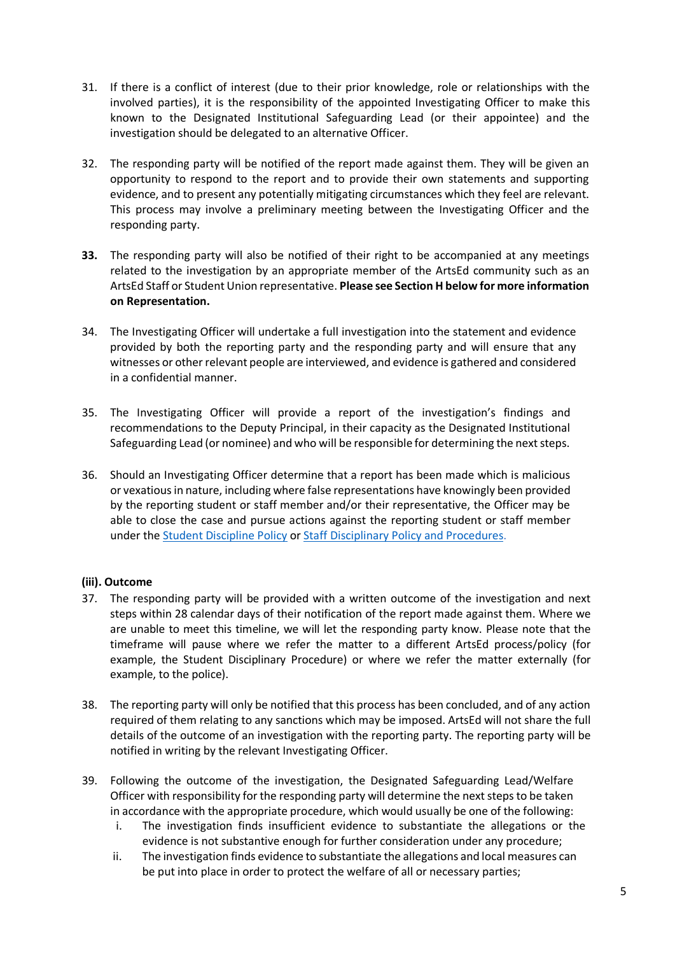- 31. If there is a conflict of interest (due to their prior knowledge, role or relationships with the involved parties), it is the responsibility of the appointed Investigating Officer to make this known to the Designated Institutional Safeguarding Lead (or their appointee) and the investigation should be delegated to an alternative Officer.
- 32. The responding party will be notified of the report made against them. They will be given an opportunity to respond to the report and to provide their own statements and supporting evidence, and to present any potentially mitigating circumstances which they feel are relevant. This process may involve a preliminary meeting between the Investigating Officer and the responding party.
- **33.** The responding party will also be notified of their right to be accompanied at any meetings related to the investigation by an appropriate member of the ArtsEd community such as an ArtsEd Staff or Student Union representative. **Please see Section H below for more information on Representation.**
- 34. The Investigating Officer will undertake a full investigation into the statement and evidence provided by both the reporting party and the responding party and will ensure that any witnesses or other relevant people are interviewed, and evidence is gathered and considered in a confidential manner.
- 35. The Investigating Officer will provide a report of the investigation's findings and recommendations to the Deputy Principal, in their capacity as the Designated Institutional Safeguarding Lead (or nominee) and who will be responsible for determining the next steps.
- 36. Should an Investigating Officer determine that a report has been made which is malicious or vexatious in nature, including where false representations have knowingly been provided by the reporting student or staff member and/or their representative, the Officer may be able to close the case and pursue actions against the reporting student or staff member under the [Student Discipline Policy](https://artsed003.blob.core.windows.net/policy/student-discipline-policy.pdf) or Staff Disciplinary [Policy and Procedures.](https://artsed003.blob.core.windows.net/policy/staff-disciplinary-policy-and-procedure.pdf)

## **(iii). Outcome**

- 37. The responding party will be provided with a written outcome of the investigation and next steps within 28 calendar days of their notification of the report made against them. Where we are unable to meet this timeline, we will let the responding party know. Please note that the timeframe will pause where we refer the matter to a different ArtsEd process/policy (for example, the Student Disciplinary Procedure) or where we refer the matter externally (for example, to the police).
- 38. The reporting party will only be notified that this process has been concluded, and of any action required of them relating to any sanctions which may be imposed. ArtsEd will not share the full details of the outcome of an investigation with the reporting party. The reporting party will be notified in writing by the relevant Investigating Officer.
- 39. Following the outcome of the investigation, the Designated Safeguarding Lead/Welfare Officer with responsibility for the responding party will determine the next steps to be taken in accordance with the appropriate procedure, which would usually be one of the following:
	- i. The investigation finds insufficient evidence to substantiate the allegations or the evidence is not substantive enough for further consideration under any procedure;
	- ii. The investigation finds evidence to substantiate the allegations and local measures can be put into place in order to protect the welfare of all or necessary parties;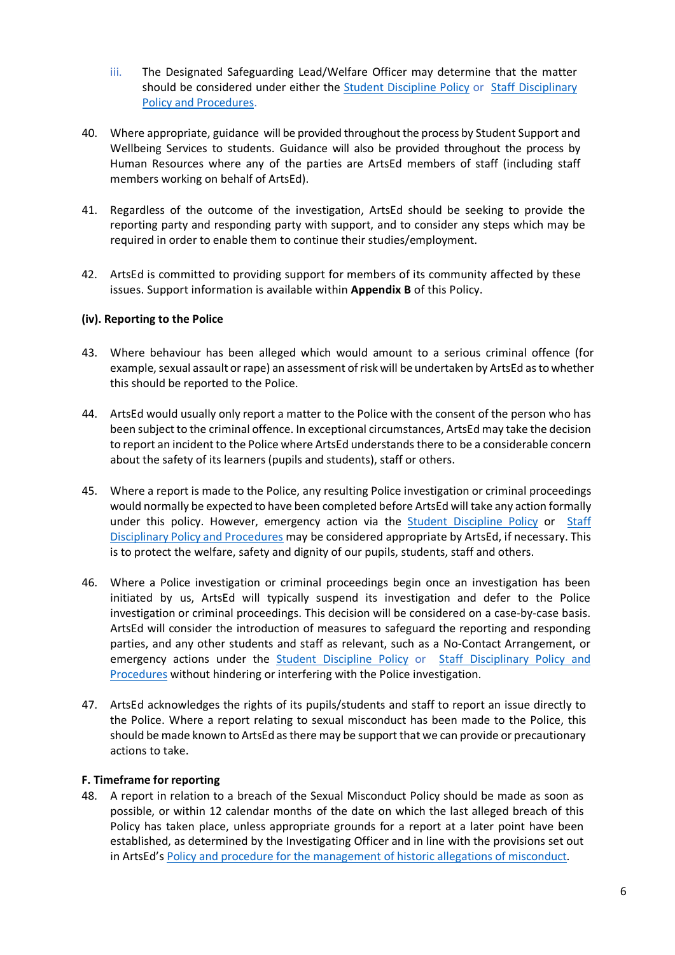- iii. The Designated Safeguarding Lead/Welfare Officer may determine that the matter should be considered under either the **[Student Discipline Policy](https://artsed003.blob.core.windows.net/policy/student-discipline-policy.pdf) or [Staff Disciplinary](https://artsed003.blob.core.windows.net/policy/staff-disciplinary-policy-and-procedure.pdf)** [Policy and Procedures.](https://artsed003.blob.core.windows.net/policy/staff-disciplinary-policy-and-procedure.pdf)
- 40. Where appropriate, guidance will be provided throughout the process by Student Support and Wellbeing Services to students. Guidance will also be provided throughout the process by Human Resources where any of the parties are ArtsEd members of staff (including staff members working on behalf of ArtsEd).
- 41. Regardless of the outcome of the investigation, ArtsEd should be seeking to provide the reporting party and responding party with support, and to consider any steps which may be required in order to enable them to continue their studies/employment.
- 42. ArtsEd is committed to providing support for members of its community affected by these issues. Support information is available within **Appendix B** of this Policy.

#### **(iv). Reporting to the Police**

- 43. Where behaviour has been alleged which would amount to a serious criminal offence (for example, sexual assault or rape) an assessment of risk will be undertaken by ArtsEd as to whether this should be reported to the Police.
- 44. ArtsEd would usually only report a matter to the Police with the consent of the person who has been subject to the criminal offence. In exceptional circumstances, ArtsEd may take the decision to report an incident to the Police where ArtsEd understands there to be a considerable concern about the safety of its learners (pupils and students), staff or others.
- 45. Where a report is made to the Police, any resulting Police investigation or criminal proceedings would normally be expected to have been completed before ArtsEd will take any action formally under this policy. However, emergency action via the **[Student Discipline Policy](https://artsed003.blob.core.windows.net/policy/student-discipline-policy.pdf) or Staff** Disciplinary [Policy and Procedures](https://artsed003.blob.core.windows.net/policy/staff-disciplinary-policy-and-procedure.pdf) may be considered appropriate by ArtsEd, if necessary. This is to protect the welfare, safety and dignity of our pupils, students, staff and others.
- 46. Where a Police investigation or criminal proceedings begin once an investigation has been initiated by us, ArtsEd will typically suspend its investigation and defer to the Police investigation or criminal proceedings. This decision will be considered on a case-by-case basis. ArtsEd will consider the introduction of measures to safeguard the reporting and responding parties, and any other students and staff as relevant, such as a No-Contact Arrangement, or emergency actions under the [Student Discipline Policy](https://artsed003.blob.core.windows.net/policy/student-discipline-policy.pdf) or [Staff Disciplinary](https://artsed003.blob.core.windows.net/policy/staff-disciplinary-policy-and-procedure.pdf) Policy and [Procedures](https://artsed003.blob.core.windows.net/policy/staff-disciplinary-policy-and-procedure.pdf) without hindering or interfering with the Police investigation.
- 47. ArtsEd acknowledges the rights of its pupils/students and staff to report an issue directly to the Police. Where a report relating to sexual misconduct has been made to the Police, this should be made known to ArtsEd as there may be support that we can provide or precautionary actions to take.

#### **F. Timeframe for reporting**

48. A report in relation to a breach of the Sexual Misconduct Policy should be made as soon as possible, or within 12 calendar months of the date on which the last alleged breach of this Policy has taken place, unless appropriate grounds for a report at a later point have been established, as determined by the Investigating Officer and in line with the provisions set out in ArtsEd's [Policy and procedure for the management of historic allegations of misconduct.](https://artsed003.blob.core.windows.net/policy/policy-and-procedure-for-the-management-of-historic-allegations-of-misconduct.pdf)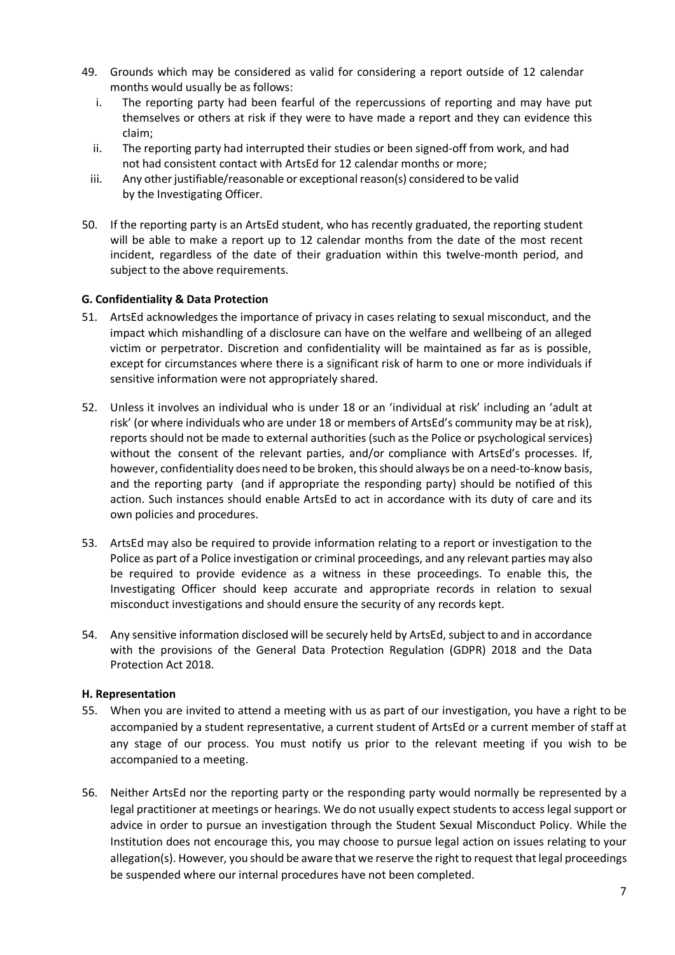- 49. Grounds which may be considered as valid for considering a report outside of 12 calendar months would usually be as follows:
	- i. The reporting party had been fearful of the repercussions of reporting and may have put themselves or others at risk if they were to have made a report and they can evidence this claim;
	- ii. The reporting party had interrupted their studies or been signed-off from work, and had not had consistent contact with ArtsEd for 12 calendar months or more;
	- iii. Any other justifiable/reasonable or exceptional reason(s) considered to be valid by the Investigating Officer.
- 50. If the reporting party is an ArtsEd student, who has recently graduated, the reporting student will be able to make a report up to 12 calendar months from the date of the most recent incident, regardless of the date of their graduation within this twelve-month period, and subject to the above requirements.

#### **G. Confidentiality & Data Protection**

- 51. ArtsEd acknowledges the importance of privacy in cases relating to sexual misconduct, and the impact which mishandling of a disclosure can have on the welfare and wellbeing of an alleged victim or perpetrator. Discretion and confidentiality will be maintained as far as is possible, except for circumstances where there is a significant risk of harm to one or more individuals if sensitive information were not appropriately shared.
- 52. Unless it involves an individual who is under 18 or an 'individual at risk' including an 'adult at risk' (or where individuals who are under 18 or members of ArtsEd's community may be at risk), reports should not be made to external authorities (such as the Police or psychological services) without the consent of the relevant parties, and/or compliance with ArtsEd's processes. If, however, confidentiality does need to be broken, this should always be on a need-to-know basis, and the reporting party (and if appropriate the responding party) should be notified of this action. Such instances should enable ArtsEd to act in accordance with its duty of care and its own policies and procedures.
- 53. ArtsEd may also be required to provide information relating to a report or investigation to the Police as part of a Police investigation or criminal proceedings, and any relevant parties may also be required to provide evidence as a witness in these proceedings. To enable this, the Investigating Officer should keep accurate and appropriate records in relation to sexual misconduct investigations and should ensure the security of any records kept.
- 54. Any sensitive information disclosed will be securely held by ArtsEd, subject to and in accordance with the provisions of the General Data Protection Regulation (GDPR) 2018 and the Data Protection Act 2018.

#### **H. Representation**

- 55. When you are invited to attend a meeting with us as part of our investigation, you have a right to be accompanied by a student representative, a current student of ArtsEd or a current member of staff at any stage of our process. You must notify us prior to the relevant meeting if you wish to be accompanied to a meeting.
- 56. Neither ArtsEd nor the reporting party or the responding party would normally be represented by a legal practitioner at meetings or hearings. We do not usually expect students to access legal support or advice in order to pursue an investigation through the Student Sexual Misconduct Policy. While the Institution does not encourage this, you may choose to pursue legal action on issues relating to your allegation(s). However, you should be aware that we reserve the right to request that legal proceedings be suspended where our internal procedures have not been completed.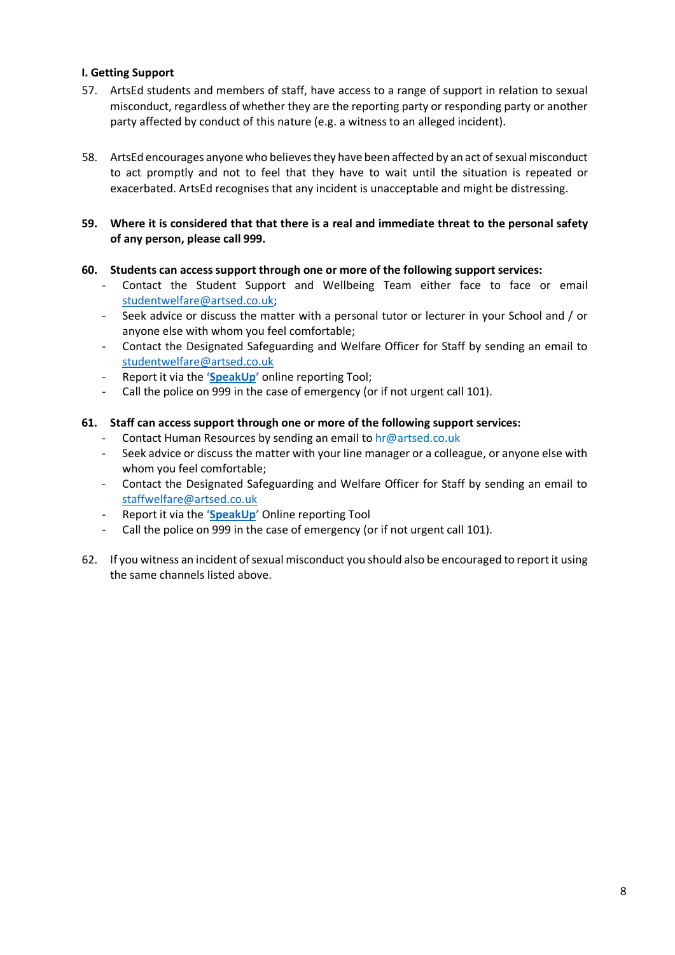## **I. Getting Support**

- 57. ArtsEd students and members of staff, have access to a range of support in relation to sexual misconduct, regardless of whether they are the reporting party or responding party or another party affected by conduct of this nature (e.g. a witness to an alleged incident).
- 58. ArtsEd encourages anyone who believes they have been affected by an act of sexual misconduct to act promptly and not to feel that they have to wait until the situation is repeated or exacerbated. ArtsEd recognises that any incident is unacceptable and might be distressing.
- **59. Where it is considered that that there is a real and immediate threat to the personal safety of any person, please call 999.**

#### **60. Students can access support through one or more of the following support services:**

- Contact the Student Support and Wellbeing Team either face to face or email [studentwelfare@artsed.co.uk;](mailto:studentwelfare@artsed.co.uk)
- Seek advice or discuss the matter with a personal tutor or lecturer in your School and / or anyone else with whom you feel comfortable;
- Contact the Designated Safeguarding and Welfare Officer for Staff by sending an email to [studentwelfare@artsed.co.uk](mailto:studentwelfare@artsed.co.uk)
- Report it via the **['SpeakUp'](https://artsed.qualtrics.com/jfe/form/SV_7OMFULwD1kl0dX8)** online reporting Tool;
- Call the police on 999 in the case of emergency (or if not urgent call 101).

#### **61. Staff can access support through one or more of the following support services:**

- Contact Human Resources by sending an email to hr@artsed.co.uk
- Seek advice or discuss the matter with your line manager or a colleague, or anyone else with whom you feel comfortable;
- Contact the Designated Safeguarding and Welfare Officer for Staff by sending an email to [staffwelfare@artsed.co.uk](mailto:staffwelfare@artsed.co.uk)
- Report it via the **['SpeakUp'](https://artsed.qualtrics.com/jfe/form/SV_7OMFULwD1kl0dX8)** Online reporting Tool
- Call the police on 999 in the case of emergency (or if not urgent call 101).
- 62. If you witness an incident of sexual misconduct you should also be encouraged to report it using the same channels listed above.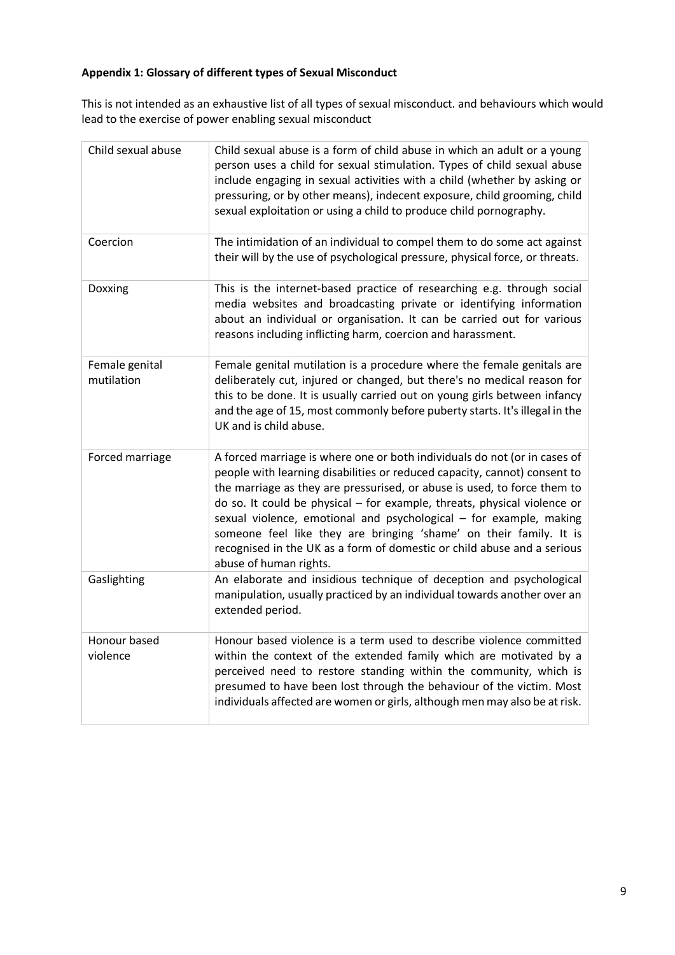## **Appendix 1: Glossary of different types of Sexual Misconduct**

This is not intended as an exhaustive list of all types of sexual misconduct. and behaviours which would lead to the exercise of power enabling sexual misconduct

| Child sexual abuse           | Child sexual abuse is a form of child abuse in which an adult or a young<br>person uses a child for sexual stimulation. Types of child sexual abuse<br>include engaging in sexual activities with a child (whether by asking or<br>pressuring, or by other means), indecent exposure, child grooming, child<br>sexual exploitation or using a child to produce child pornography.                                                                                                                                                                               |
|------------------------------|-----------------------------------------------------------------------------------------------------------------------------------------------------------------------------------------------------------------------------------------------------------------------------------------------------------------------------------------------------------------------------------------------------------------------------------------------------------------------------------------------------------------------------------------------------------------|
| Coercion                     | The intimidation of an individual to compel them to do some act against<br>their will by the use of psychological pressure, physical force, or threats.                                                                                                                                                                                                                                                                                                                                                                                                         |
| Doxxing                      | This is the internet-based practice of researching e.g. through social<br>media websites and broadcasting private or identifying information<br>about an individual or organisation. It can be carried out for various<br>reasons including inflicting harm, coercion and harassment.                                                                                                                                                                                                                                                                           |
| Female genital<br>mutilation | Female genital mutilation is a procedure where the female genitals are<br>deliberately cut, injured or changed, but there's no medical reason for<br>this to be done. It is usually carried out on young girls between infancy<br>and the age of 15, most commonly before puberty starts. It's illegal in the<br>UK and is child abuse.                                                                                                                                                                                                                         |
| Forced marriage              | A forced marriage is where one or both individuals do not (or in cases of<br>people with learning disabilities or reduced capacity, cannot) consent to<br>the marriage as they are pressurised, or abuse is used, to force them to<br>do so. It could be physical – for example, threats, physical violence or<br>sexual violence, emotional and psychological - for example, making<br>someone feel like they are bringing 'shame' on their family. It is<br>recognised in the UK as a form of domestic or child abuse and a serious<br>abuse of human rights. |
| Gaslighting                  | An elaborate and insidious technique of deception and psychological<br>manipulation, usually practiced by an individual towards another over an<br>extended period.                                                                                                                                                                                                                                                                                                                                                                                             |
| Honour based<br>violence     | Honour based violence is a term used to describe violence committed<br>within the context of the extended family which are motivated by a<br>perceived need to restore standing within the community, which is<br>presumed to have been lost through the behaviour of the victim. Most<br>individuals affected are women or girls, although men may also be at risk.                                                                                                                                                                                            |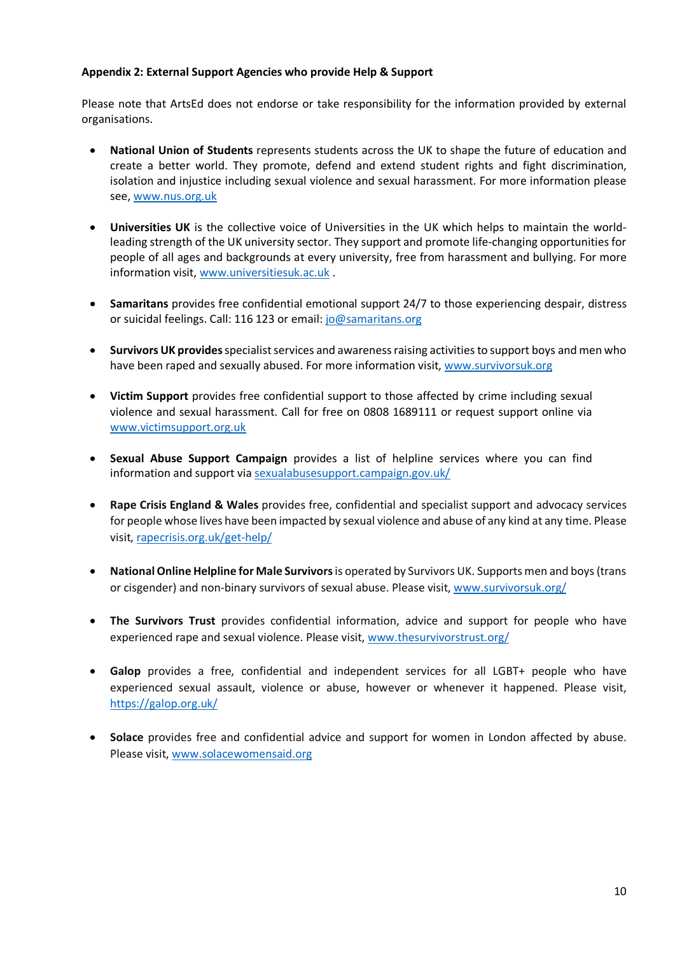## **Appendix 2: External Support Agencies who provide Help & Support**

Please note that ArtsEd does not endorse or take responsibility for the information provided by external organisations.

- **National Union of Students** represents students across the UK to shape the future of education and create a better world. They promote, defend and extend student rights and fight discrimination, isolation and injustice including sexual violence and sexual harassment. For more information please see, [www.nus.org.uk](http://www.nus.org.uk/)
- **Universities UK** is the collective voice of Universities in the UK which helps to maintain the worldleading strength of the UK university sector. They support and promote life-changing opportunities for people of all ages and backgrounds at every university, free from harassment and bullying. For more information visit, [www.universitiesuk.ac.uk](http://www.universitiesuk.ac.uk/) .
- **Samaritans** provides free confidential emotional support 24/7 to those experiencing despair, distress or suicidal feelings. Call: 116 123 or email: [jo@samaritans.org](mailto:jo@samaritans.org)
- **Survivors UK provides** specialist services and awareness raising activities to support boys and men who have been raped and sexually abused. For more information visit, [www.survivorsuk.org](http://www.survivorsuk.org/)
- **Victim Support** provides free confidential support to those affected by crime including sexual violence and sexual harassment. Call for free on 0808 1689111 or request support online via [www.victimsupport.org.uk](http://www.victimsupport.org.uk/)
- **Sexual Abuse Support Campaign** provides a list of helpline services where you can find information and support vi[a sexualabusesupport.campaign.gov.uk/](https://sexualabusesupport.campaign.gov.uk/)
- **Rape Crisis England & Wales** provides free, confidential and specialist support and advocacy services for people whose lives have been impacted by sexual violence and abuse of any kind at any time. Please visit, [rapecrisis.org.uk/get-help/](https://rapecrisis.org.uk/get-help/)
- **National Online Helpline for Male Survivors**is operated by Survivors UK. Supports men and boys (trans or cisgender) and non-binary survivors of sexual abuse. Please visit, [www.survivorsuk.org/](http://www.survivorsuk.org/)
- **The Survivors Trust** provides confidential information, advice and support for people who have experienced rape and sexual violence. Please visit, [www.thesurvivorstrust.org/](http://www.thesurvivorstrust.org/)
- **Galop** provides a free, confidential and independent services for all LGBT+ people who have experienced sexual assault, violence or abuse, however or whenever it happened. Please visit, <https://galop.org.uk/>
- **Solace** provides free and confidential advice and support for women in London affected by abuse. Please visit[, www.solacewomensaid.org](http://www.solacewomensaid.org/)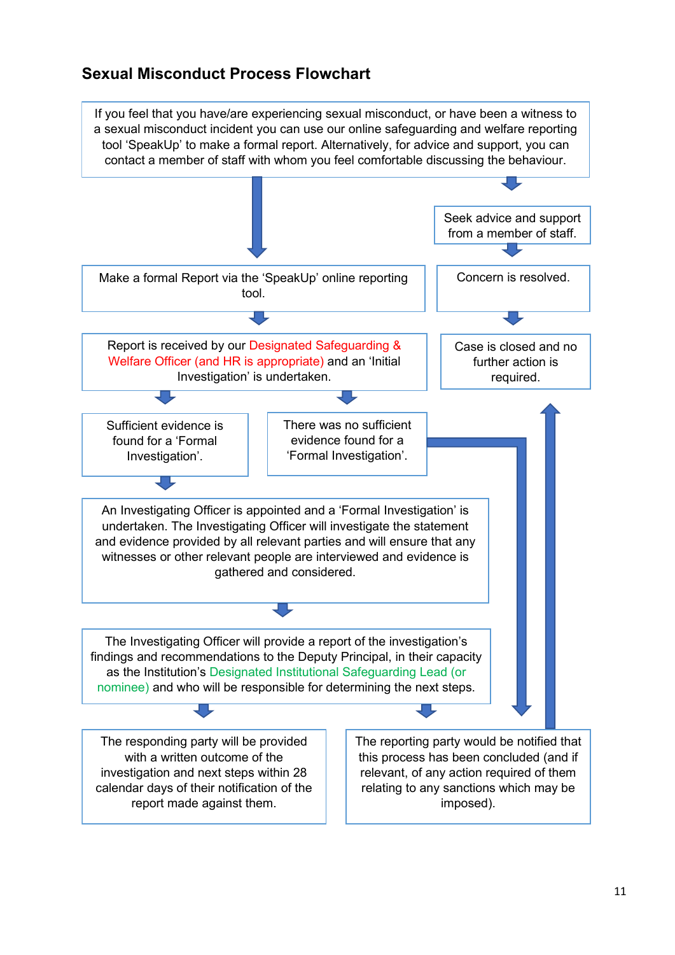# **Sexual Misconduct Process Flowchart**

If you feel that you have/are experiencing sexual misconduct, or have been a witness to a sexual misconduct incident you can use our online safeguarding and welfare reporting tool 'SpeakUp' to make a formal report. Alternatively, for advice and support, you can contact a member of staff with whom you feel comfortable discussing the behaviour. Seek advice and support from a member of staff. Make a formal Report via the 'SpeakUp' online reporting Concern is resolved. tool. マリ Report is received by our Designated Safeguarding & Case is closed and no Welfare Officer (and HR is appropriate) and an 'Initial further action is Investigation' is undertaken. required. There was no sufficient Sufficient evidence is evidence found for a found for a 'Formal Investigation'. 'Formal Investigation'. An Investigating Officer is appointed and a 'Formal Investigation' is undertaken. The Investigating Officer will investigate the statement and evidence provided by all relevant parties and will ensure that any witnesses or other relevant people are interviewed and evidence is gathered and considered. The Investigating Officer will provide a report of the investigation's findings and recommendations to the Deputy Principal, in their capacity as the Institution's Designated Institutional Safeguarding Lead (or nominee) and who will be responsible for determining the next steps. 工 The reporting party would be notified that The responding party will be provided with a written outcome of the this process has been concluded (and if investigation and next steps within 28 relevant, of any action required of them calendar days of their notification of the relating to any sanctions which may be report made against them. imposed).